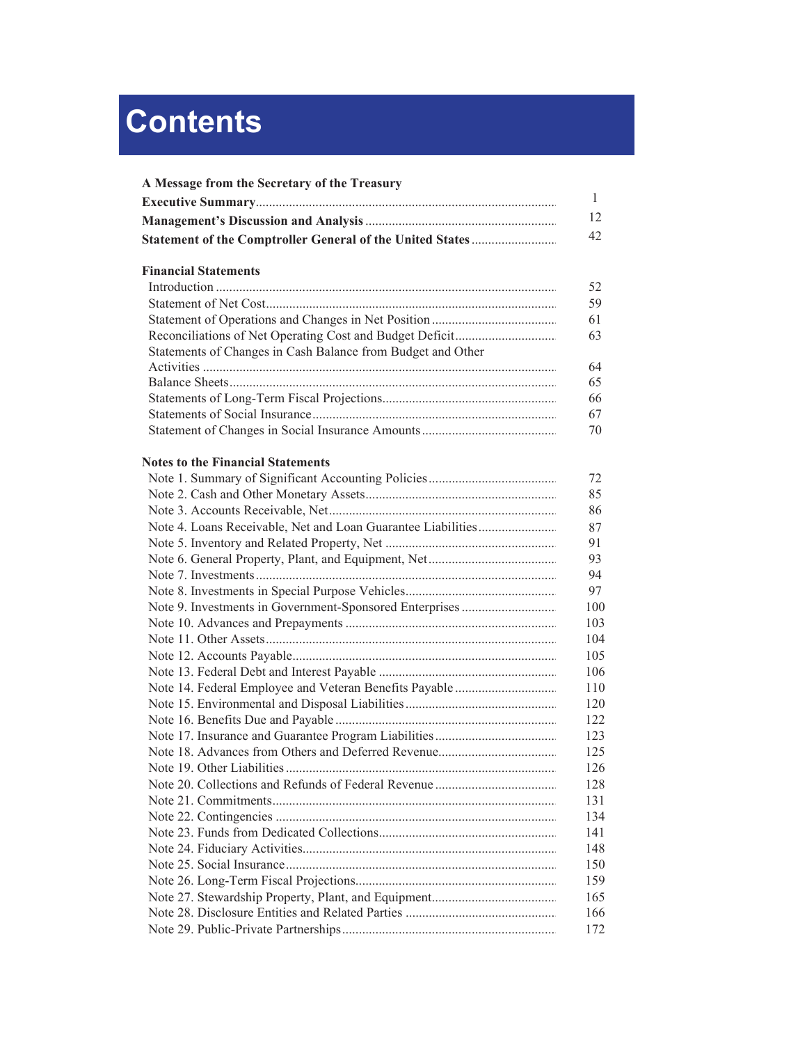## **Contents**

| A Message from the Secretary of the Treasury                | 1   |
|-------------------------------------------------------------|-----|
|                                                             | 12  |
|                                                             | 42  |
|                                                             |     |
| <b>Financial Statements</b>                                 |     |
|                                                             | 52  |
|                                                             | 59  |
|                                                             | 61  |
|                                                             | 63  |
| Statements of Changes in Cash Balance from Budget and Other |     |
|                                                             | 64  |
|                                                             | 65  |
|                                                             | 66  |
|                                                             | 67  |
|                                                             | 70  |
| <b>Notes to the Financial Statements</b>                    |     |
|                                                             | 72  |
|                                                             | 85  |
|                                                             | 86  |
|                                                             | 87  |
|                                                             | 91  |
|                                                             | 93  |
|                                                             | 94  |
|                                                             | 97  |
|                                                             | 100 |
|                                                             | 103 |
|                                                             | 104 |
|                                                             | 105 |
|                                                             | 106 |
|                                                             | 110 |
|                                                             | 120 |
|                                                             | 122 |
|                                                             | 123 |
|                                                             | 125 |
|                                                             | 126 |
|                                                             | 128 |
|                                                             | 131 |
|                                                             | 134 |
|                                                             | 141 |
|                                                             | 148 |
|                                                             | 150 |
|                                                             | 159 |
|                                                             | 165 |
|                                                             | 166 |
|                                                             | 172 |
|                                                             |     |